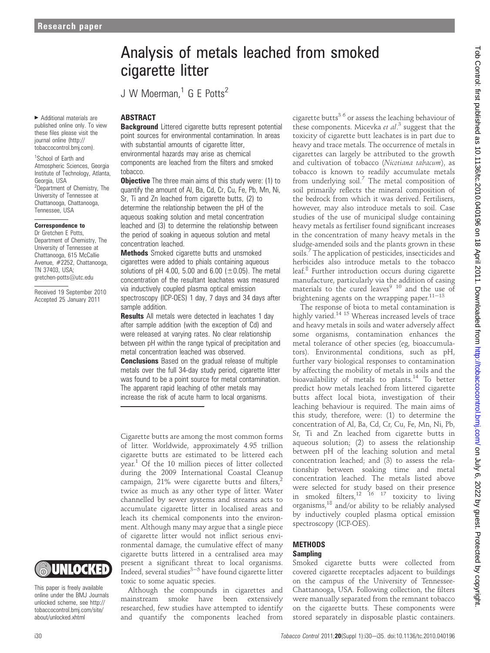$\blacktriangleright$  Additional materials are published online only. To view these files please visit the journal online (http:// tobaccocontrol.bmj.com).

1 School of Earth and Atmospheric Sciences, Georgia Institute of Technology, Atlanta, Georgia, USA <sup>2</sup>Department of Chemistry, The University of Tennessee at Chattanooga, Chattanooga, Tennessee, USA

#### Correspondence to

Dr Gretchen E Potts, Department of Chemistry, The University of Tennessee at Chattanooga, 615 McCallie Avenue, #2252, Chattanooga, TN 37403, USA; gretchen-potts@utc.edu

Received 19 September 2010 Accepted 25 January 2011

## UNLOCKED

This paper is freely available online under the BMJ Journals unlocked scheme, see http:// tobaccocontrol.bmj.com/site/ about/unlocked.xhtml

# Analysis of metals leached from smoked cigarette litter

J W Moerman<sup>1</sup> G F Potts<sup>2</sup>

## ABSTRACT

**Background** Littered cigarette butts represent potential point sources for environmental contamination. In areas with substantial amounts of cigarette litter, environmental hazards may arise as chemical components are leached from the filters and smoked tobacco.

**Objective** The three main aims of this study were: (1) to quantify the amount of Al, Ba, Cd, Cr, Cu, Fe, Pb, Mn, Ni, Sr, Ti and Zn leached from cigarette butts, (2) to determine the relationship between the pH of the aqueous soaking solution and metal concentration leached and (3) to determine the relationship between the period of soaking in aqueous solution and metal concentration leached.

**Methods** Smoked cigarette butts and unsmoked cigarettes were added to phials containing aqueous solutions of pH 4.00, 5.00 and 6.00 ( $\pm$ 0.05). The metal concentration of the resultant leachates was measured via inductively coupled plasma optical emission spectroscopy (ICP-OES) 1 day, 7 days and 34 days after sample addition.

**Results** All metals were detected in leachates 1 day after sample addition (with the exception of Cd) and were released at varying rates. No clear relationship between pH within the range typical of precipitation and metal concentration leached was observed.

**Conclusions** Based on the gradual release of multiple metals over the full 34-day study period, cigarette litter was found to be a point source for metal contamination. The apparent rapid leaching of other metals may increase the risk of acute harm to local organisms.

Cigarette butts are among the most common forms of litter. Worldwide, approximately 4.95 trillion cigarette butts are estimated to be littered each year.1 Of the 10 million pieces of litter collected during the 2009 International Coastal Cleanup campaign, 21% were cigarette butts and filters, twice as much as any other type of litter. Water channelled by sewer systems and streams acts to accumulate cigarette litter in localised areas and leach its chemical components into the environment. Although many may argue that a single piece of cigarette litter would not inflict serious environmental damage, the cumulative effect of many cigarette butts littered in a centralised area may present a significant threat to local organisms. Indeed, several studies $3-5$  have found cigarette litter toxic to some aquatic species.

Although the compounds in cigarettes and mainstream smoke have been extensively researched, few studies have attempted to identify and quantify the components leached from cigarette butts<sup>36</sup> or assess the leaching behaviour of these components. Micevka et al.<sup>3</sup> suggest that the toxicity of cigarette butt leachates is in part due to heavy and trace metals. The occurrence of metals in cigarettes can largely be attributed to the growth and cultivation of tobacco (Nicotiana tabacum), as tobacco is known to readily accumulate metals from underlying  $\text{soil.}^7$  The metal composition of soil primarily reflects the mineral composition of the bedrock from which it was derived. Fertilisers, however, may also introduce metals to soil. Case studies of the use of municipal sludge containing heavy metals as fertiliser found significant increases in the concentration of many heavy metals in the sludge-amended soils and the plants grown in these soils.<sup>7</sup> The application of pesticides, insecticides and herbicides also introduce metals to the tobacco leaf.<sup>8</sup> Further introduction occurs during cigarette manufacture, particularly via the addition of casing materials to the cured leaves<sup>9 10</sup> and the use of brightening agents on the wrapping paper. $11-13$ 

The response of biota to metal contamination is highly varied.<sup>14 15</sup> Whereas increased levels of trace and heavy metals in soils and water adversely affect some organisms, contamination enhances the metal tolerance of other species (eg, bioaccumulators). Environmental conditions, such as pH, further vary biological responses to contamination by affecting the mobility of metals in soils and the bioavailability of metals to plants.<sup>14</sup> To better predict how metals leached from littered cigarette butts affect local biota, investigation of their leaching behaviour is required. The main aims of this study, therefore, were: (1) to determine the concentration of Al, Ba, Cd, Cr, Cu, Fe, Mn, Ni, Pb, Sr, Ti and Zn leached from cigarette butts in aqueous solution; (2) to assess the relationship between pH of the leaching solution and metal concentration leached; and (3) to assess the relationship between soaking time and metal concentration leached. The metals listed above were selected for study based on their presence in smoked filters, $^{12}$  16  $^{17}$  toxicity to living organisms,<sup>18</sup> and/or ability to be reliably analysed by inductively coupled plasma optical emission spectroscopy (ICP-OES).

#### METHODS **Sampling**

Smoked cigarette butts were collected from covered cigarette receptacles adjacent to buildings on the campus of the University of Tennessee-Chattanooga, USA. Following collection, the filters were manually separated from the remnant tobacco on the cigarette butts. These components were stored separately in disposable plastic containers.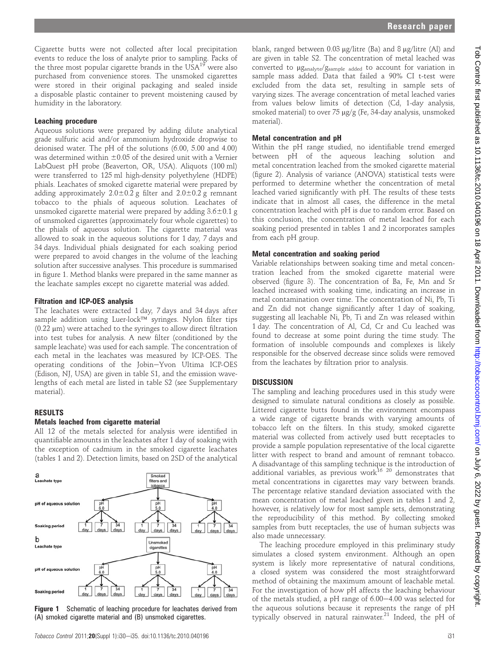Cigarette butts were not collected after local precipitation events to reduce the loss of analyte prior to sampling. Packs of the three most popular cigarette brands in the  $USA^{19}$  were also purchased from convenience stores. The unsmoked cigarettes were stored in their original packaging and sealed inside a disposable plastic container to prevent moistening caused by humidity in the laboratory.

#### Leaching procedure

Aqueous solutions were prepared by adding dilute analytical grade sulfuric acid and/or ammonium hydroxide dropwise to deionised water. The pH of the solutions (6.00, 5.00 and 4.00) was determined within  $\pm 0.05$  of the desired unit with a Vernier LabQuest pH probe (Beaverton, OR, USA). Aliquots (100 ml) were transferred to 125 ml high-density polyethylene (HDPE) phials. Leachates of smoked cigarette material were prepared by adding approximately  $2.0\pm0.2$  g filter and  $2.0\pm0.2$  g remnant tobacco to the phials of aqueous solution. Leachates of unsmoked cigarette material were prepared by adding  $3.6 \pm 0.1$  g of unsmoked cigarettes (approximately four whole cigarettes) to the phials of aqueous solution. The cigarette material was allowed to soak in the aqueous solutions for 1 day, 7 days and 34 days. Individual phials designated for each soaking period were prepared to avoid changes in the volume of the leaching solution after successive analyses. This procedure is summarised in figure 1. Method blanks were prepared in the same manner as the leachate samples except no cigarette material was added.

## Filtration and ICP-OES analysis

The leachates were extracted 1 day, 7 days and 34 days after sample addition using Luer-lock<sup>TM</sup> syringes. Nylon filter tips  $(0.22 \mu m)$  were attached to the syringes to allow direct filtration into test tubes for analysis. A new filter (conditioned by the sample leachate) was used for each sample. The concentration of each metal in the leachates was measured by ICP-OES. The operating conditions of the Jobin-Yvon Ultima ICP-OES (Edison, NJ, USA) are given in table S1, and the emission wavelengths of each metal are listed in table S2 (see Supplementary material).

## RESULTS

#### Metals leached from cigarette material

All 12 of the metals selected for analysis were identified in quantifiable amounts in the leachates after 1 day of soaking with the exception of cadmium in the smoked cigarette leachates (tables 1 and 2). Detection limits, based on 2SD of the analytical



**Figure 1** Schematic of leaching procedure for leachates derived from (A) smoked cigarette material and (B) unsmoked cigarettes.

blank, ranged between  $0.03 \mu$ g/litre (Ba) and 8  $\mu$ g/litre (Al) and are given in table S2. The concentration of metal leached was converted to  $\mu_{\text{Sanalyte}}/g_{\text{sample added}}$  to account for variation in sample mass added. Data that failed a 90% CI t-test were excluded from the data set, resulting in sample sets of varying sizes. The average concentration of metal leached varies from values below limits of detection (Cd, 1-day analysis, smoked material) to over 75 µg/g (Fe, 34-day analysis, unsmoked material).

## Metal concentration and pH

Within the pH range studied, no identifiable trend emerged between pH of the aqueous leaching solution and metal concentration leached from the smoked cigarette material (figure 2). Analysis of variance (ANOVA) statistical tests were performed to determine whether the concentration of metal leached varied significantly with pH. The results of these tests indicate that in almost all cases, the difference in the metal concentration leached with pH is due to random error. Based on this conclusion, the concentration of metal leached for each soaking period presented in tables 1 and 2 incorporates samples from each pH group.

#### Metal concentration and soaking period

Variable relationships between soaking time and metal concentration leached from the smoked cigarette material were observed (figure 3). The concentration of Ba, Fe, Mn and Sr leached increased with soaking time, indicating an increase in metal contamination over time. The concentration of Ni, Pb, Ti and Zn did not change significantly after 1 day of soaking, suggesting all leachable Ni, Pb, Ti and Zn was released within 1 day. The concentration of Al, Cd, Cr and Cu leached was found to decrease at some point during the time study. The formation of insoluble compounds and complexes is likely responsible for the observed decrease since solids were removed from the leachates by filtration prior to analysis.

## **DISCUSSION**

The sampling and leaching procedures used in this study were designed to simulate natural conditions as closely as possible. Littered cigarette butts found in the environment encompass a wide range of cigarette brands with varying amounts of tobacco left on the filters. In this study, smoked cigarette material was collected from actively used butt receptacles to provide a sample population representative of the local cigarette litter with respect to brand and amount of remnant tobacco. A disadvantage of this sampling technique is the introduction of additional variables, as previous work $^{16}$  <sup>20</sup> demonstrates that metal concentrations in cigarettes may vary between brands. The percentage relative standard deviation associated with the mean concentration of metal leached given in tables 1 and 2, however, is relatively low for most sample sets, demonstrating the reproducibility of this method. By collecting smoked samples from butt receptacles, the use of human subjects was also made unnecessary.

The leaching procedure employed in this preliminary study simulates a closed system environment. Although an open system is likely more representative of natural conditions, a closed system was considered the most straightforward method of obtaining the maximum amount of leachable metal. For the investigation of how pH affects the leaching behaviour of the metals studied, a pH range of  $6.00-4.00$  was selected for the aqueous solutions because it represents the range of pH typically observed in natural rainwater.<sup>21</sup> Indeed, the pH of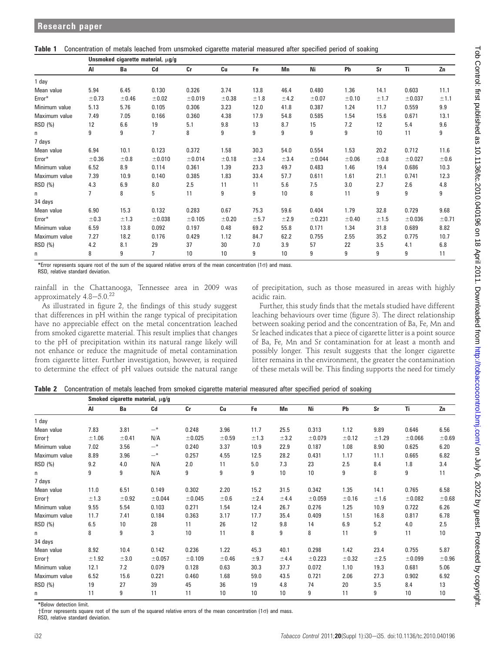Table 1 Concentration of metals leached from unsmoked cigarette material measured after specified period of soaking

|               | Unsmoked cigarette material, $\mu$ g/g |       |        |         |       |      |      |         |       |      |         |       |
|---------------|----------------------------------------|-------|--------|---------|-------|------|------|---------|-------|------|---------|-------|
|               | Al                                     | Ba    | Cd     | Cr      | Cu    | Fe   | Mn   | Ni      | Pb    | Sr   | Ti      | Zn    |
| 1 day         |                                        |       |        |         |       |      |      |         |       |      |         |       |
| Mean value    | 5.94                                   | 6.45  | 0.130  | 0.326   | 3.74  | 13.8 | 46.4 | 0.480   | 1.36  | 14.1 | 0.603   | 11.1  |
| Error*        | ±0.73                                  | ±0.46 | ±0.02  | ±0.019  | ±0.38 | ±1.8 | ±4.2 | ±0.07   | ±0.10 | ±1.7 | ±0.037  | ±1.1  |
| Minimum value | 5.13                                   | 5.76  | 0.105  | 0.306   | 3.23  | 12.0 | 41.8 | 0.387   | 1.24  | 11.7 | 0.559   | 9.9   |
| Maximum value | 7.49                                   | 7.05  | 0.166  | 0.360   | 4.38  | 17.9 | 54.8 | 0.585   | 1.54  | 15.6 | 0.671   | 13.1  |
| RSD (%)       | 12                                     | 6.6   | 19     | 5.1     | 9.8   | 13   | 8.7  | 15      | 7.2   | 12   | 5.4     | 9.6   |
| n             | 9                                      | 9     | 7      | 8       | 9     | 9    | 9    | 9       | 9     | 10   | 11      | 9     |
| 7 days        |                                        |       |        |         |       |      |      |         |       |      |         |       |
| Mean value    | 6.94                                   | 10.1  | 0.123  | 0.372   | 1.58  | 30.3 | 54.0 | 0.554   | 1.53  | 20.2 | 0.712   | 11.6  |
| Error*        | ±0.36                                  | ±0.8  | ±0.010 | ± 0.014 | ±0.18 | ±3.4 | ±3.4 | ± 0.044 | ±0.06 | ±0.8 | ± 0.027 | ±0.6  |
| Minimum value | 6.52                                   | 8.9   | 0.114  | 0.361   | 1.39  | 23.3 | 49.7 | 0.483   | 1.46  | 19.4 | 0.686   | 10.3  |
| Maximum value | 7.39                                   | 10.9  | 0.140  | 0.385   | 1.83  | 33.4 | 57.7 | 0.611   | 1.61  | 21.1 | 0.741   | 12.3  |
| RSD (%)       | 4.3                                    | 6.9   | 8.0    | 2.5     | 11    | 11   | 5.6  | 7.5     | 3.0   | 2.7  | 2.6     | 4.8   |
| n.            | 7                                      | 8     | 5      | 11      | 9     | 9    | 10   | 8       | 11    | 9    | 9       | 9     |
| 34 days       |                                        |       |        |         |       |      |      |         |       |      |         |       |
| Mean value    | 6.90                                   | 15.3  | 0.132  | 0.283   | 0.67  | 75.3 | 59.6 | 0.404   | 1.79  | 32.8 | 0.729   | 9.68  |
| Error*        | ±0.3                                   | ±1.3  | ±0.038 | ± 0.105 | ±0.20 | ±5.7 | ±2.9 | ± 0.231 | ±0.40 | ±1.5 | ±0.036  | ±0.71 |
| Minimum value | 6.59                                   | 13.8  | 0.092  | 0.197   | 0.48  | 69.2 | 55.8 | 0.171   | 1.34  | 31.8 | 0.689   | 8.82  |
| Maximum value | 7.27                                   | 18.2  | 0.176  | 0.429   | 1.12  | 84.7 | 62.2 | 0.755   | 2.55  | 35.2 | 0.775   | 10.7  |
| RSD (%)       | 4.2                                    | 8.1   | 29     | 37      | 30    | 7.0  | 3.9  | 57      | 22    | 3.5  | 4.1     | 6.8   |
| n             | 8                                      | 9     | 7      | 10      | 10    | 9    | 10   | 9       | 9     | 9    | 9       | 11    |

\*Error represents square root of the sum of the squared relative errors of the mean concentration (1s) and mass. RSD, relative standard deviation.

rainfall in the Chattanooga, Tennessee area in 2009 was approximately  $4.8 - 5.0^{22}$ 

of precipitation, such as those measured in areas with highly acidic rain.

As illustrated in figure 2, the findings of this study suggest that differences in pH within the range typical of precipitation have no appreciable effect on the metal concentration leached from smoked cigarette material. This result implies that changes to the pH of precipitation within its natural range likely will not enhance or reduce the magnitude of metal contamination from cigarette litter. Further investigation, however, is required to determine the effect of pH values outside the natural range

Further, this study finds that the metals studied have different leaching behaviours over time (figure 3). The direct relationship between soaking period and the concentration of Ba, Fe, Mn and Sr leached indicates that a piece of cigarette litter is a point source of Ba, Fe, Mn and Sr contamination for at least a month and possibly longer. This result suggests that the longer cigarette litter remains in the environment, the greater the contamination of these metals will be. This finding supports the need for timely

Table 2 Concentration of metals leached from smoked cigarette material measured after specified period of soaking

|               | Smoked cigarette material, µg/g |        |         |         |       |                 |      |         |       |       |        |       |
|---------------|---------------------------------|--------|---------|---------|-------|-----------------|------|---------|-------|-------|--------|-------|
|               | AI                              | Ba     | Cd      | Cr      | Cu    | Fe              | Mn   | Ni      | Pb    | Sr    | Ti     | Zn    |
| 1 day         |                                 |        |         |         |       |                 |      |         |       |       |        |       |
| Mean value    | 7.83                            | 3.81   | $-$ *   | 0.248   | 3.96  | 11.7            | 25.5 | 0.313   | 1.12  | 9.89  | 0.646  | 6.56  |
| Error+        | ±1.06                           | ± 0.41 | N/A     | ± 0.025 | ±0.59 | ±1.3            | ±3.2 | ± 0.079 | ±0.12 | ±1.29 | ±0.066 | ±0.69 |
| Minimum value | 7.02                            | 3.56   | $-$ *   | 0.240   | 3.37  | 10.9            | 22.9 | 0.187   | 1.08  | 8.90  | 0.625  | 6.20  |
| Maximum value | 8.89                            | 3.96   | $-$ *   | 0.257   | 4.55  | 12.5            | 28.2 | 0.431   | 1.17  | 11.1  | 0.665  | 6.82  |
| RSD (%)       | 9.2                             | 4.0    | N/A     | 2.0     | 11    | 5.0             | 7.3  | 23      | 2.5   | 8.4   | 1.8    | 3.4   |
| n             | 9                               | 9      | N/A     | 9       | 9     | 9               | 10   | 10      | 9     | 8     | 9      | 11    |
| 7 days        |                                 |        |         |         |       |                 |      |         |       |       |        |       |
| Mean value    | 11.0                            | 6.51   | 0.149   | 0.302   | 2.20  | 15.2            | 31.5 | 0.342   | 1.35  | 14.1  | 0.765  | 6.58  |
| Error+        | ±1.3                            | ±0.92  | ± 0.044 | ± 0.045 | ±0.6  | ±2.4            | ±4.4 | ±0.059  | ±0.16 | ±1.6  | ±0.082 | ±0.68 |
| Minimum value | 9.55                            | 5.54   | 0.103   | 0.271   | 1.54  | 12.4            | 26.7 | 0.276   | 1.25  | 10.9  | 0.722  | 6.26  |
| Maximum value | 11.7                            | 7.41   | 0.184   | 0.363   | 3.17  | 17.7            | 35.4 | 0.409   | 1.51  | 16.8  | 0.817  | 6.78  |
| RSD (%)       | 6.5                             | 10     | 28      | 11      | 26    | 12              | 9.8  | 14      | 6.9   | 5.2   | 4.0    | 2.5   |
| n             | 8                               | 9      | 3       | 10      | 11    | 8               | 9    | 8       | 11    | 9     | 11     | 10    |
| 34 days       |                                 |        |         |         |       |                 |      |         |       |       |        |       |
| Mean value    | 8.92                            | 10.4   | 0.142   | 0.236   | 1.22  | 45.3            | 40.1 | 0.298   | 1.42  | 23.4  | 0.755  | 5.87  |
| Error+        | ±1.92                           | ±3.0   | ±0.057  | ± 0.109 | ±0.46 | ±9.7            | ±4.4 | ±0.223  | ±0.32 | ±2.5  | ±0.099 | ±0.96 |
| Minimum value | 12.1                            | 7.2    | 0.079   | 0.128   | 0.63  | 30.3            | 37.7 | 0.072   | 1.10  | 19.3  | 0.681  | 5.06  |
| Maximum value | 6.52                            | 15.6   | 0.221   | 0.460   | 1.68  | 59.0            | 43.5 | 0.721   | 2.06  | 27.3  | 0.902  | 6.92  |
| RSD (%)       | 19                              | 27     | 39      | 45      | 36    | 19              | 4.8  | 74      | 20    | 3.5   | 8.4    | 13    |
| n             | 11                              | 9      | 11      | 11      | 10    | 10 <sup>°</sup> | 10   | 9       | 11    | 9     | 10     | 10    |

\*Below detection limit.

 $+$ Error represents square root of the sum of the squared relative errors of the mean concentration (1 $\sigma$ ) and mass.

RSD, relative standard deviation.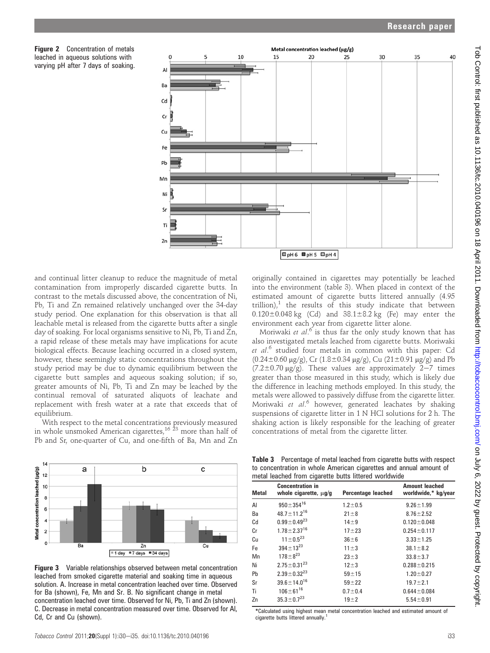Figure 2 Concentration of metals leached in aqueous solutions with varying pH after 7 days of soaking.



and continual litter cleanup to reduce the magnitude of metal contamination from improperly discarded cigarette butts. In contrast to the metals discussed above, the concentration of Ni, Pb, Ti and Zn remained relatively unchanged over the 34-day study period. One explanation for this observation is that all leachable metal is released from the cigarette butts after a single day of soaking. For local organisms sensitive to Ni, Pb, Ti and Zn, a rapid release of these metals may have implications for acute biological effects. Because leaching occurred in a closed system, however, these seemingly static concentrations throughout the study period may be due to dynamic equilibrium between the cigarette butt samples and aqueous soaking solution; if so, greater amounts of Ni, Pb, Ti and Zn may be leached by the continual removal of saturated aliquots of leachate and replacement with fresh water at a rate that exceeds that of equilibrium.

With respect to the metal concentrations previously measured in whole unsmoked American cigarettes, $^{16\,\, 23}$  more than half of Pb and Sr, one-quarter of Cu, and one-fifth of Ba, Mn and Zn



**Figure 3** Variable relationships observed between metal concentration leached from smoked cigarette material and soaking time in aqueous solution. A. Increase in metal concentration leached over time. Observed for Ba (shown), Fe, Mn and Sr. B. No significant change in metal concentration leached over time. Observed for Ni, Pb, Ti and Zn (shown). C. Decrease in metal concentration measured over time. Observed for Al, Cd, Cr and Cu (shown).

originally contained in cigarettes may potentially be leached into the environment (table 3). When placed in context of the estimated amount of cigarette butts littered annually (4.95  $\text{trillion)}$ ,<sup>1</sup> the results of this study indicate that between  $0.120 \pm 0.048$  kg (Cd) and  $38.1 \pm 8.2$  kg (Fe) may enter the environment each year from cigarette litter alone.

Moriwaki et  $al$ <sup>6</sup> is thus far the only study known that has also investigated metals leached from cigarette butts. Moriwaki et al.<sup>6</sup> studied four metals in common with this paper: Cd  $(0.24\pm0.60 \text{ µg/g})$ , Cr  $(1.8\pm0.34 \text{ µg/g})$ , Cu  $(21\pm0.91 \text{ µg/g})$  and Pb  $(7.2\pm0.70 \text{ }\mu\text{g/g})$ . These values are approximately 2-7 times greater than those measured in this study, which is likely due the difference in leaching methods employed. In this study, the metals were allowed to passively diffuse from the cigarette litter. Moriwaki et al.<sup>6</sup> however, generated leachates by shaking suspensions of cigarette litter in 1 N HCl solutions for 2 h. The shaking action is likely responsible for the leaching of greater concentrations of metal from the cigarette litter.

Table 3 Percentage of metal leached from cigarette butts with respect to concentration in whole American cigarettes and annual amount of metal leached from cigarette butts littered worldwide

| metal leached nom cigalette butts intered wondwide |                                                       |                    |                                              |  |  |  |  |  |
|----------------------------------------------------|-------------------------------------------------------|--------------------|----------------------------------------------|--|--|--|--|--|
| <b>Metal</b>                                       | <b>Concentration in</b><br>whole cigarette, $\mu$ g/g | Percentage leached | <b>Amount leached</b><br>worldwide,* kg/year |  |  |  |  |  |
| Al                                                 | $950 \pm 354^{16}$                                    | $1.2 \pm 0.5$      | $9.26 \pm 1.99$                              |  |  |  |  |  |
| Ba                                                 | $48.7 \pm 11.2^{16}$                                  | $21 \pm 8$         | $8.76 \pm 2.52$                              |  |  |  |  |  |
| Cd                                                 | $0.99 \pm 0.49^{23}$                                  | $14 \pm 9$         | $0.120 \pm 0.048$                            |  |  |  |  |  |
| Сr                                                 | $1.78 \pm 2.37^{16}$                                  | $17 + 23$          | $0.254 \pm 0.117$                            |  |  |  |  |  |
| Cu                                                 | $11 \pm 0.5^{23}$                                     | $36 \pm 6$         | $3.33 \pm 1.25$                              |  |  |  |  |  |
| Fe                                                 | $394 \pm 13^{23}$                                     | $11 \pm 3$         | $38.1 \pm 8.2$                               |  |  |  |  |  |
| Mn                                                 | $178 \pm 8^{23}$                                      | $23 + 3$           | $33.8 \pm 3.7$                               |  |  |  |  |  |
| Ni                                                 | $2.75 \pm 0.31^{23}$                                  | $12 + 3$           | $0.288 \pm 0.215$                            |  |  |  |  |  |
| Pb                                                 | $2.39 \pm 0.32^{23}$                                  | $59 + 15$          | $1.20 \pm 0.27$                              |  |  |  |  |  |
| Sr                                                 | $39.6 \pm 14.0^{16}$                                  | $59 + 22$          | $19.7 \pm 2.1$                               |  |  |  |  |  |
| Ti                                                 | $106 \pm 61^{16}$                                     | $0.7 \pm 0.4$      | $0.644 \pm 0.084$                            |  |  |  |  |  |
| Zn                                                 | $35.3 \pm 0.7^{23}$                                   | $19 \pm 2$         | $5.54 \pm 0.91$                              |  |  |  |  |  |
|                                                    |                                                       |                    |                                              |  |  |  |  |  |

\*Calculated using highest mean metal concentration leached and estimated amount of cigarette butts littered annually.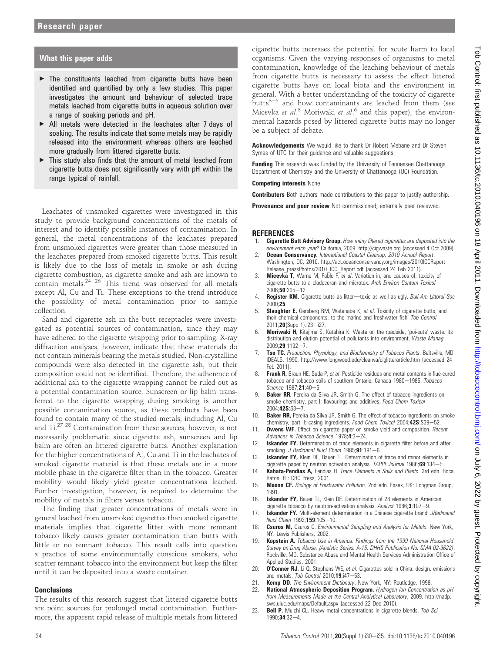## What this paper adds

- $\blacktriangleright$  The constituents leached from cigarette butts have been identified and quantified by only a few studies. This paper investigates the amount and behaviour of selected trace metals leached from cigarette butts in aqueous solution over a range of soaking periods and pH.
- ▶ All metals were detected in the leachates after 7 days of soaking. The results indicate that some metals may be rapidly released into the environment whereas others are leached more gradually from littered cigarette butts.
- $\blacktriangleright$  This study also finds that the amount of metal leached from cigarette butts does not significantly vary with pH within the range typical of rainfall.

Leachates of unsmoked cigarettes were investigated in this study to provide background concentrations of the metals of interest and to identify possible instances of contamination. In general, the metal concentrations of the leachates prepared from unsmoked cigarettes were greater than those measured in the leachates prepared from smoked cigarette butts. This result is likely due to the loss of metals in smoke or ash during cigarette combustion, as cigarette smoke and ash are known to contain metals. $24-26$  This trend was observed for all metals except Al, Cu and Ti. These exceptions to the trend introduce the possibility of metal contamination prior to sample collection.

Sand and cigarette ash in the butt receptacles were investigated as potential sources of contamination, since they may have adhered to the cigarette wrapping prior to sampling. X-ray diffraction analyses, however, indicate that these materials do not contain minerals bearing the metals studied. Non-crystalline compounds were also detected in the cigarette ash, but their composition could not be identified. Therefore, the adherence of additional ash to the cigarette wrapping cannot be ruled out as a potential contamination source. Sunscreen or lip balm transferred to the cigarette wrapping during smoking is another possible contamination source, as these products have been found to contain many of the studied metals, including Al, Cu and Ti.27 <sup>28</sup> Contamination from these sources, however, is not necessarily problematic since cigarette ash, sunscreen and lip balm are often on littered cigarette butts. Another explanation for the higher concentrations of Al, Cu and Ti in the leachates of smoked cigarette material is that these metals are in a more mobile phase in the cigarette filter than in the tobacco. Greater mobility would likely yield greater concentrations leached. Further investigation, however, is required to determine the mobility of metals in filters versus tobacco.

The finding that greater concentrations of metals were in general leached from unsmoked cigarettes than smoked cigarette materials implies that cigarette litter with more remnant tobacco likely causes greater contamination than butts with little or no remnant tobacco. This result calls into question a practice of some environmentally conscious smokers, who scatter remnant tobacco into the environment but keep the filter until it can be deposited into a waste container.

#### **Conclusions**

The results of this research suggest that littered cigarette butts are point sources for prolonged metal contamination. Furthermore, the apparent rapid release of multiple metals from littered

cigarette butts increases the potential for acute harm to local organisms. Given the varying responses of organisms to metal contamination, knowledge of the leaching behaviour of metals from cigarette butts is necessary to assess the effect littered cigarette butts have on local biota and the environment in general. With a better understanding of the toxicity of cigarette butts $3-5$  and how contaminants are leached from them (see Micevka et al.<sup>3</sup> Moriwaki et al.<sup>6</sup> and this paper), the environmental hazards posed by littered cigarette butts may no longer be a subject of debate.

Acknowledgements We would like to thank Dr Robert Mebane and Dr Steven Symes of UTC for their guidance and valuable suggestions.

**Funding** This research was funded by the University of Tennessee Chattanooga Department of Chemistry and the University of Chattanooga (UC) Foundation.

#### Competing interests None.

**Contributors** Both authors made contributions to this paper to justify authorship.

**Provenance and peer review** Not commissioned; externally peer reviewed.

#### **REFERENCES**

- Cigarette Butt Advisory Group. How many filtered cigarettes are deposited into the environment each year? California, 2009. http://cigwaste.org (accessed 4 Oct 2009).
- Ocean Conservancy. International Coastal Cleanup: 2010 Annual Report. Washington, DC, 2010. http://act.oceanconservancy.org/images/2010ICCReport Release\_pressPhotos/2010\_ICC\_Report.pdf (accessed 24 Feb 2011).
- 3. **Micevka T,** Warne M, Pablo F, et al. Variation in, and causes of, toxicity of cigarette butts to a cladoceran and microtox. Arch Environ Contam Toxicol  $2006:50:205 - 12$
- 4. Register KM. Cigarette butts as litter-toxic as well as ugly. Bull Am Littoral Soc 2000;25.
- Slaughter E, Gersberg RM, Watanabe K, et al. Toxicity of cigarette butts, and their chemical components, to the marine and freshwater fish. Tob Control 2011;20(Supp 1):i23-i27.
- 6. Moriwaki H, Kitajima S, Katahira K. Waste on the roadside, 'poi-sute' waste: its distribution and elution potential of pollutants into environment. Waste Manag 2009;29:1192-7.
- Tso TC. Production, Physiology, and Biochemistry of Tobacco Plants. Beltsville, MD: IDEALS, 1990. http://www.longwood.edu/cleanva/ciglitterarticle.htm (accessed 24 Feb 2011).
- 8. Frank R, Braun HE, Suda P, et al. Pesticide residues and metal contents in flue-cured tobacco and tobacco soils of southern Ontario, Canada 1980-1985. Tobacco Science 1987;21:40-5.
- 9. **Baker RR,** Pereira da Silva JR, Smith G. The effect of tobacco ingredients on smoke chemistry, part I: flavourings and additives. Food Chem Toxicol 2004:42S:S3-7.
- 10. **Baker RR,** Pereira da Silva JR, Smith G. The effect of tobacco ingredients on smoke chemistry, part II: casing ingredients. Food Chem Toxicol 2004;42S:S39-52.
- 11. **Owens WF.** Effect on cigarette paper on smoke yield and composition. Recent Advances in Tobacco Science 1978:4:3-24.
- 12. **Iskander FY.** Determination of trace elements in cigarette filter before and after smoking. J Radioanal Nucl Chem 1985;91:191-6.
- 13. **Iskander FY,** Klein DE, Bauer TL. Determination of trace and minor elements in cigarette paper by neutron activation analysis. TAPPI Journal  $1986;69:134-5$ .
- 14. **Kabata-Pendias A,** Pendias H. Trace Elements in Soils and Plants. 3rd edn. Boca Raton, FL: CRC Press, 2001.
- 15. Mason CF. Biology of Freshwater Pollution. 2nd edn. Essex, UK: Longman Group, 1991.
- 16. **Iskander FY,** Bauer TL, Klein DE. Determination of 28 elements in American
- cigarette tobacco by neutron-activation analysis. Analyst 1986;3:107-9. 17. **Iskander FY.** Multi-element determination in a Chinese cigarette brand. JRadioanal Nucl Chem 1992;159:105-10.
- 18. **Csuros M,** Csuros C. Environmental Sampling and Analysis for Metals. New York, NY: Lewis Publishers, 2002.
- 19. Kopstein A. Tobacco Use in America: Findings from the 1999 National Household Survey on Drug Abuse. (Analytic Series: A-15, DHHS Publication No. SMA 02-3622). Rockville, MD: Substance Abuse and Mental Health Services Administration Office of Applied Studies, 2001.
- 20. O'Conner RJ, Li Q, Stephens WE, et al. Cigarettes sold in China: design, emissions and metals. Tob Control 2010;19:i47-53.
- 21. Kemp DD. The Environment Dictionary. New York, NY: Routledge, 1998.
- National Atmospheric Deposition Program. Hydrogen Ion Concentration as pH from Measurements Made at the Central Analytical Laboratory, 2009. http://nadp. sws.uiuc.edu/maps/Default.aspx (accessed 22 Dec 2010).
- 23. Bell P, Mulchi CL. Heavy metal concentrations in cigarette blends. Tob Sci  $1990:34:32-4.$